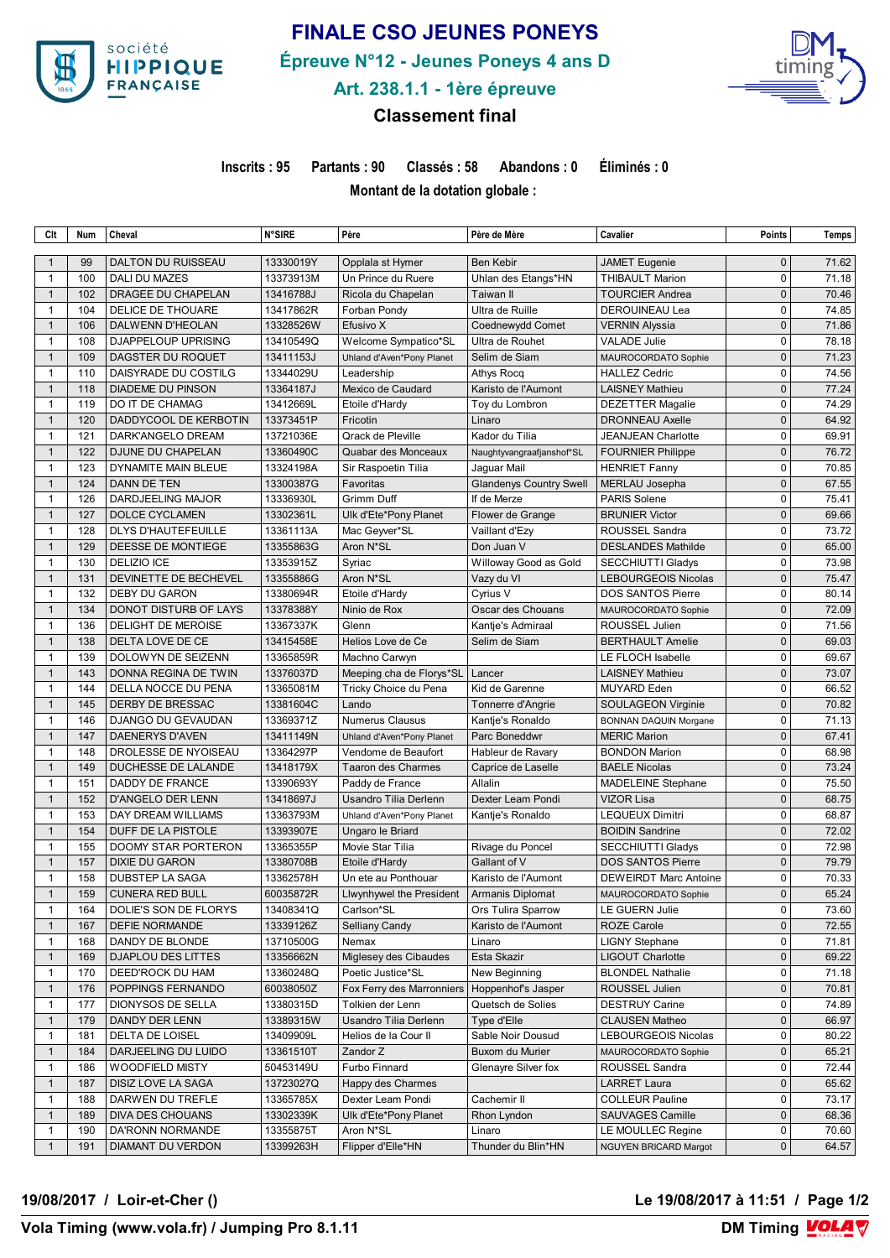

# **FINALE CSO JEUNES PONEYS**

**Épreuve N°12 - Jeunes Poneys 4 ans D**



**Art. 238.1.1 - 1ère épreuve**

### **Classement final**

**Inscrits : 95 Partants : 90 Classés : 58 Abandons : 0 Éliminés : 0**

**Montant de la dotation globale :** 

| Clt                          | Num        | Cheval                                          | <b>N°SIRE</b>          | Père                                        | Père de Mère                              | Cavalier                                            | <b>Points</b> | Temps          |
|------------------------------|------------|-------------------------------------------------|------------------------|---------------------------------------------|-------------------------------------------|-----------------------------------------------------|---------------|----------------|
| $\mathbf 1$                  | 99         | DALTON DU RUISSEAU                              | 13330019Y              | Opplala st Hymer                            | Ben Kebir                                 | <b>JAMET</b> Eugenie                                | $\mathbf{0}$  | 71.62          |
| $\mathbf{1}$                 | 100        | DALI DU MAZES                                   | 13373913M              | Un Prince du Ruere                          | Uhlan des Etangs*HN                       | <b>THIBAULT Marion</b>                              | $\mathbf 0$   | 71.18          |
| $\mathbf{1}$                 | 102        | DRAGEE DU CHAPELAN                              | 13416788J              | Ricola du Chapelan                          | Taiwan II                                 | <b>TOURCIER Andrea</b>                              | $\mathbf{0}$  | 70.46          |
| $\mathbf{1}$                 | 104        | DELICE DE THOUARE                               | 13417862R              | Forban Pondy                                | Ultra de Ruille                           | DEROUINEAU Lea                                      | $\Omega$      | 74.85          |
| $\mathbf{1}$                 | 106        | DALWENN D'HEOLAN                                | 13328526W              | Efusivo X                                   | Coednewydd Comet                          | VERNIN Alyssia                                      | $\mathbf{0}$  | 71.86          |
| $\mathbf{1}$                 | 108        | DJAPPELOUP UPRISING                             | 13410549Q              | Welcome Sympatico*SL                        | Ultra de Rouhet                           | <b>VALADE Julie</b>                                 | $\mathbf 0$   | 78.18          |
| $\mathbf{1}$                 | 109        | DAGSTER DU ROQUET                               | 13411153J              | Uhland d'Aven*Pony Planet                   | Selim de Siam                             | MAUROCORDATO Sophie                                 | $\mathbf{0}$  | 71.23          |
| $\mathbf{1}$                 | 110        | DAISYRADE DU COSTILG                            | 13344029U              | Leadership                                  | Athys Rocq                                | <b>HALLEZ Cedric</b>                                | $\mathbf 0$   | 74.56          |
| $\overline{1}$               | 118        | <b>DIADEME DU PINSON</b>                        | 13364187J              | Mexico de Caudard                           | Karisto de l'Aumont                       | <b>LAISNEY Mathieu</b>                              | $\mathbf{0}$  | 77.24          |
| $\mathbf{1}$                 | 119        | DO IT DE CHAMAG                                 | 13412669L              | Etoile d'Hardy                              | Toy du Lombron                            | <b>DEZETTER Magalie</b>                             | $\mathbf 0$   | 74.29          |
| $\overline{1}$               | 120        | DADDYCOOL DE KERBOTIN                           | 13373451P              | Fricotin                                    | Linaro                                    | <b>DRONNEAU Axelle</b>                              | $\mathbf{0}$  | 64.92          |
| 1                            | 121        | DARK'ANGELO DREAM                               | 13721036E              | Qrack de Pleville                           | Kador du Tilia                            | JEANJEAN Charlotte                                  | $\mathbf 0$   | 69.91          |
| $\mathbf{1}$                 | 122        | DJUNE DU CHAPELAN                               | 13360490C              | Quabar des Monceaux                         | Naughtyvangraafjanshof*SL                 | <b>FOURNIER Philippe</b>                            | $\mathbf{0}$  | 76.72          |
| 1                            | 123        | DYNAMITE MAIN BLEUE                             | 13324198A              | Sir Raspoetin Tilia                         | Jaguar Mail                               | <b>HENRIET Fanny</b>                                | $\mathbf 0$   | 70.85          |
| $\mathbf{1}$                 | 124        | DANN DE TEN                                     | 13300387G              | Favoritas                                   | <b>Glandenys Country Swell</b>            | MERLAU Josepha                                      | $\mathbf{0}$  | 67.55          |
| 1                            | 126        | DARDJEELING MAJOR                               | 13336930L              | <b>Grimm Duff</b>                           | If de Merze                               | PARIS Solene                                        | 0             | 75.41          |
| $\mathbf{1}$                 | 127        | <b>DOLCE CYCLAMEN</b>                           | 13302361L              | Ulk d'Ete*Pony Planet                       | Flower de Grange                          | <b>BRUNIER Victor</b>                               | $\mathbf 0$   | 69.66          |
| 1                            | 128        | DLYS D'HAUTEFEUILLE                             | 13361113A              | Mac Geyver*SL                               | Vaillant d'Ezy                            | ROUSSEL Sandra                                      | $\mathbf 0$   | 73.72          |
| $\mathbf{1}$                 | 129        | DEESSE DE MONTIEGE                              | 13355863G              | Aron N*SL                                   | Don Juan V                                | <b>DESLANDES Mathilde</b>                           | $\mathbf{0}$  | 65.00          |
| 1                            | 130        | <b>DELIZIO ICE</b>                              | 13353915Z              | Syriac                                      | Willoway Good as Gold                     | <b>SECCHIUTTI Gladys</b>                            | $\mathbf 0$   | 73.98          |
| $\mathbf{1}$                 | 131        | DEVINETTE DE BECHEVEL                           | 13355886G              | Aron N*SL                                   | Vazy du VI                                | LEBOURGEOIS Nicolas                                 | $\mathbf{0}$  | 75.47          |
| 1                            | 132        | <b>DEBY DU GARON</b>                            | 13380694R              | Etoile d'Hardy                              | Cyrius V                                  | <b>DOS SANTOS Pierre</b>                            | $\mathbf 0$   | 80.14          |
| $\mathbf{1}$                 | 134        | DONOT DISTURB OF LAYS                           | 13378388Y              | Ninio de Rox                                | Oscar des Chouans                         | MAUROCORDATO Sophie                                 | $\mathbf{0}$  | 72.09          |
| $\mathbf{1}$                 | 136        | DELIGHT DE MEROISE                              | 13367337K              | Glenn                                       | Kantje's Admiraal                         | ROUSSEL Julien                                      | $\mathbf 0$   | 71.56          |
| $\mathbf{1}$                 | 138        | DELTA LOVE DE CE                                | 13415458E              | Helios Love de Ce                           | Selim de Siam                             | <b>BERTHAULT Amelie</b>                             | $\mathbf{0}$  | 69.03          |
| $\mathbf{1}$                 | 139        | DOLOWYN DE SEIZENN                              | 13365859R              | Machno Carwyn                               |                                           | LE FLOCH Isabelle                                   | $\mathbf 0$   | 69.67          |
| $\mathbf{1}$                 | 143        | DONNA REGINA DE TWIN                            | 13376037D              | Meeping cha de Florys*SL                    | Lancer                                    | <b>LAISNEY Mathieu</b>                              | $\mathbf{0}$  | 73.07          |
| $\mathbf{1}$                 | 144        | DELLA NOCCE DU PENA                             | 13365081M              | Tricky Choice du Pena                       | Kid de Garenne                            | <b>MUYARD</b> Eden                                  | $\mathbf 0$   | 66.52          |
| $\mathbf{1}$                 | 145        | DERBY DE BRESSAC                                | 13381604C              | Lando                                       | Tonnerre d'Angrie                         |                                                     | $\mathbf{0}$  | 70.82          |
| $\mathbf{1}$                 | 146        | DJANGO DU GEVAUDAN                              | 13369371Z              | <b>Numerus Clausus</b>                      | Kantje's Ronaldo                          | SOULAGEON Virginie                                  | $\mathbf 0$   | 71.13          |
| $\mathbf{1}$                 | 147        | DAENERYS D'AVEN                                 | 13411149N              | Uhland d'Aven*Pony Planet                   | Parc Boneddwr                             | <b>BONNAN DAQUIN Morgane</b><br><b>MERIC Marion</b> | $\mathbf{0}$  | 67.41          |
| 1                            | 148        | DROLESSE DE NYOISEAU                            | 13364297P              | Vendome de Beaufort                         | Hableur de Ravary                         | <b>BONDON Marion</b>                                | $\mathbf 0$   | 68.98          |
| $\mathbf{1}$                 | 149        | DUCHESSE DE LALANDE                             | 13418179X              | <b>Taaron des Charmes</b>                   | Caprice de Laselle                        | <b>BAELE Nicolas</b>                                | $\mathbf{0}$  | 73.24          |
| $\mathbf{1}$                 | 151        | DADDY DE FRANCE                                 | 13390693Y              |                                             | Allalin                                   |                                                     | $\mathbf 0$   | 75.50          |
| $\mathbf{1}$                 | 152        |                                                 |                        | Paddy de France<br>Usandro Tilia Derlenn    | Dexter Leam Pondi                         | <b>MADELEINE Stephane</b><br><b>VIZOR Lisa</b>      | $\mathbf 0$   | 68.75          |
| $\mathbf{1}$                 | 153        | D'ANGELO DER LENN<br>DAY DREAM WILLIAMS         | 13418697J<br>13363793M |                                             | Kantje's Ronaldo                          | <b>LEQUEUX Dimitri</b>                              | $\mathbf 0$   | 68.87          |
| $\mathbf{1}$                 | 154        | DUFF DE LA PISTOLE                              | 13393907E              | Uhland d'Aven*Pony Planet                   |                                           | <b>BOIDIN Sandrine</b>                              | $\mathbf{0}$  | 72.02          |
| $\mathbf{1}$                 | 155        | <b>DOOMY STAR PORTERON</b>                      | 13365355P              | Ungaro le Briard<br>Movie Star Tilia        | Rivage du Poncel                          | <b>SECCHIUTTI Gladys</b>                            | $\mathbf 0$   | 72.98          |
| $\mathbf{1}$                 | 157        |                                                 |                        |                                             | Gallant of V                              |                                                     | $\bf 0$       |                |
|                              | 158        | <b>DIXIE DU GARON</b><br><b>DUBSTEP LA SAGA</b> | 13380708B<br>13362578H | Etoile d'Hardy<br>Un ete au Ponthouar       | Karisto de l'Aumont                       | <b>DOS SANTOS Pierre</b>                            | $\mathbf 0$   | 79.79<br>70.33 |
| $\mathbf{1}$<br>$\mathbf{1}$ | 159        | <b>CUNERA RED BULL</b>                          | 60035872R              |                                             |                                           | <b>DEWEIRDT Marc Antoine</b>                        | $\pmb{0}$     | 65.24          |
|                              |            | DOLIE'S SON DE FLORYS                           | 13408341Q              | Llwynhywel the President   Armanis Diplomat |                                           | MAUROCORDATO Sophie<br>LE GUERN Julie               | 0             | 73.60          |
| 1<br>$\mathbf{1}$            | 164<br>167 | DEFIE NORMANDE                                  | 13339126Z              | Carlson*SL<br>Selliany Candy                | Ors Tulira Sparrow<br>Karisto de l'Aumont | <b>ROZE Carole</b>                                  | $\mathbf 0$   | 72.55          |
|                              |            |                                                 |                        |                                             |                                           |                                                     | 0             |                |
| 1                            | 168        | DANDY DE BLONDE                                 | 13710500G              | Nemax                                       | Linaro                                    | <b>LIGNY Stephane</b>                               | $\bf 0$       | 71.81          |
| $\mathbf{1}$<br>1            | 169<br>170 | DJAPLOU DES LITTES                              | 13356662N              | Miglesey des Cibaudes<br>Poetic Justice*SL  | Esta Skazir                               | <b>LIGOUT Charlotte</b>                             | 0             | 69.22          |
|                              |            | DEED'ROCK DU HAM                                | 13360248Q              |                                             | New Beginning                             | <b>BLONDEL Nathalie</b>                             |               | 71.18          |
| $\mathbf{1}$                 | 176        | POPPINGS FERNANDO                               | 60038050Z              | Fox Ferry des Marronniers                   | Hoppenhof's Jasper                        | ROUSSEL Julien                                      | $\bf{0}$<br>0 | 70.81<br>74.89 |
| $\mathbf{1}$                 | 177        | DIONYSOS DE SELLA                               | 13380315D              | Tolkien der Lenn                            | Quetsch de Solies                         | <b>DESTRUY Carine</b>                               |               |                |
| $\mathbf{1}$                 | 179        | DANDY DER LENN                                  | 13389315W              | Usandro Tilia Derlenn                       | Type d'Elle                               | <b>CLAUSEN Matheo</b>                               | $\mathbf 0$   | 66.97          |
| 1                            | 181        | DELTA DE LOISEL                                 | 13409909L              | Helios de la Cour II                        | Sable Noir Dousud                         | LEBOURGEOIS Nicolas                                 | 0             | 80.22          |
| $\mathbf{1}$                 | 184        | DARJEELING DU LUIDO                             | 13361510T              | Zandor Z                                    | Buxom du Murier                           | MAUROCORDATO Sophie                                 | 0             | 65.21          |
| 1                            | 186        | <b>WOODFIELD MISTY</b>                          | 50453149U              | Furbo Finnard                               | Glenayre Silver fox                       | ROUSSEL Sandra                                      | $\mathbf 0$   | 72.44          |
| $\mathbf{1}$                 | 187        | DISIZ LOVE LA SAGA                              | 13723027Q              | Happy des Charmes                           |                                           | <b>LARRET Laura</b>                                 | $\mathbf 0$   | 65.62          |
| 1                            | 188        | DARWEN DU TREFLE                                | 13365785X              | Dexter Leam Pondi                           | Cachemir II                               | <b>COLLEUR Pauline</b>                              | 0             | 73.17          |
| $\mathbf{1}$                 | 189        | DIVA DES CHOUANS                                | 13302339K              | Ulk d'Ete*Pony Planet                       | Rhon Lyndon                               | SAUVAGES Camille                                    | 0             | 68.36          |
| 1                            | 190        | DA'RONN NORMANDE                                | 13355875T              | Aron N*SL                                   | Linaro                                    | LE MOULLEC Regine                                   | 0             | 70.60          |
| $\mathbf{1}$                 | 191        | DIAMANT DU VERDON                               | 13399263H              | Flipper d'Elle*HN                           | Thunder du Blin*HN                        | NGUYEN BRICARD Margot                               | $\mathbf 0$   | 64.57          |

**19/08/2017 / Loir-et-Cher () Le 19/08/2017 à 11:51 / Page 1/2**